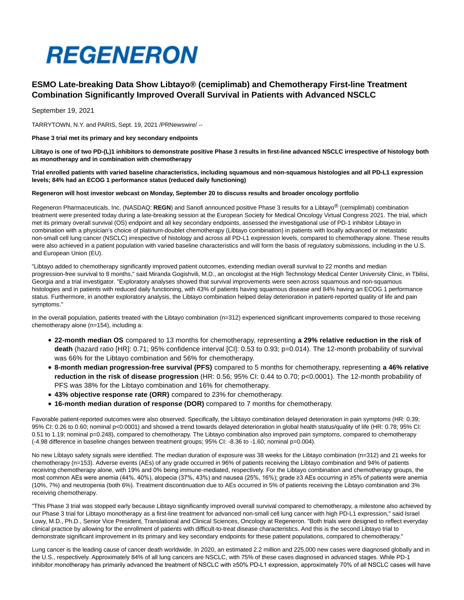# **REGENERON**

# **ESMO Late-breaking Data Show Libtayo® (cemiplimab) and Chemotherapy First-line Treatment Combination Significantly Improved Overall Survival in Patients with Advanced NSCLC**

September 19, 2021

TARRYTOWN, N.Y. and PARIS, Sept. 19, 2021 /PRNewswire/ --

**Phase 3 trial met its primary and key secondary endpoints**

**Libtayo is one of two PD-(L)1 inhibitors to demonstrate positive Phase 3 results in first-line advanced NSCLC irrespective of histology both as monotherapy and in combination with chemotherapy**

**Trial enrolled patients with varied baseline characteristics, including squamous and non-squamous histologies and all PD-L1 expression levels; 84% had an ECOG 1 performance status (reduced daily functioning)**

**Regeneron will host investor webcast on Monday, September 20 to discuss results and broader oncology portfolio**

Regeneron Pharmaceuticals, Inc. (NASDAQ: **REGN**) and Sanofi announced positive Phase 3 results for a Libtayo® (cemiplimab) combination treatment were presented today during a late-breaking session at the European Society for Medical Oncology Virtual Congress 2021. The trial, which met its primary overall survival (OS) endpoint and all key secondary endpoints, assessed the investigational use of PD-1 inhibitor Libtayo in combination with a physician's choice of platinum-doublet chemotherapy (Libtayo combination) in patients with locally advanced or metastatic non-small cell lung cancer (NSCLC) irrespective of histology and across all PD-L1 expression levels, compared to chemotherapy alone. These results were also achieved in a patient population with varied baseline characteristics and will form the basis of regulatory submissions, including in the U.S. and European Union (EU).

"Libtayo added to chemotherapy significantly improved patient outcomes, extending median overall survival to 22 months and median progression-free survival to 8 months," said Miranda Gogishvili, M.D., an oncologist at the High Technology Medical Center University Clinic, in Tbilisi, Georgia and a trial investigator. "Exploratory analyses showed that survival improvements were seen across squamous and non-squamous histologies and in patients with reduced daily functioning, with 43% of patients having squamous disease and 84% having an ECOG 1 performance status. Furthermore, in another exploratory analysis, the Libtayo combination helped delay deterioration in patient-reported quality of life and pain symptoms."

In the overall population, patients treated with the Libtayo combination (n=312) experienced significant improvements compared to those receiving chemotherapy alone (n=154), including a:

- **22-month median OS** compared to 13 months for chemotherapy, representing **a 29% relative reduction in the risk of death** (hazard ratio [HR]: 0.71; 95% confidence interval [CI]: 0.53 to 0.93; p=0.014). The 12-month probability of survival was 66% for the Libtayo combination and 56% for chemotherapy.
- **8-month median progression-free survival (PFS)** compared to 5 months for chemotherapy, representing **a 46% relative reduction in the risk of disease progression** (HR: 0.56; 95% CI: 0.44 to 0.70; p<0.0001). The 12-month probability of PFS was 38% for the Libtayo combination and 16% for chemotherapy.
- **43% objective response rate (ORR)** compared to 23% for chemotherapy.
- **16-month median duration of response (DOR)** compared to 7 months for chemotherapy.

Favorable patient-reported outcomes were also observed. Specifically, the Libtayo combination delayed deterioration in pain symptoms (HR: 0.39; 95% CI: 0.26 to 0.60; nominal p<0.0001) and showed a trend towards delayed deterioration in global health status/quality of life (HR: 0.78; 95% CI: 0.51 to 1.19; nominal p=0.248), compared to chemotherapy. The Libtayo combination also improved pain symptoms, compared to chemotherapy (-4.98 difference in baseline changes between treatment groups; 95% CI: -8.36 to -1.60; nominal p=0.004).

No new Libtayo safety signals were identified. The median duration of exposure was 38 weeks for the Libtayo combination (n=312) and 21 weeks for chemotherapy (n=153). Adverse events (AEs) of any grade occurred in 96% of patients receiving the Libtayo combination and 94% of patients receiving chemotherapy alone, with 19% and 0% being immune-mediated, respectively. For the Libtayo combination and chemotherapy groups, the most common AEs were anemia (44%, 40%), alopecia (37%, 43%) and nausea (25%, 16%); grade ≥3 AEs occurring in ≥5% of patients were anemia (10%, 7%) and neutropenia (both 6%). Treatment discontinuation due to AEs occurred in 5% of patients receiving the Libtayo combination and 3% receiving chemotherapy.

"This Phase 3 trial was stopped early because Libtayo significantly improved overall survival compared to chemotherapy, a milestone also achieved by our Phase 3 trial for Libtayo monotherapy as a first-line treatment for advanced non-small cell lung cancer with high PD-L1 expression," said Israel Lowy, M.D., Ph.D., Senior Vice President, Translational and Clinical Sciences, Oncology at Regeneron. "Both trials were designed to reflect everyday clinical practice by allowing for the enrollment of patients with difficult-to-treat disease characteristics. And this is the second Libtayo trial to demonstrate significant improvement in its primary and key secondary endpoints for these patient populations, compared to chemotherapy."

Lung cancer is the leading cause of cancer death worldwide. In 2020, an estimated 2.2 million and 225,000 new cases were diagnosed globally and in the U.S., respectively. Approximately 84% of all lung cancers are NSCLC, with 75% of these cases diagnosed in advanced stages. While PD-1 inhibitor monotherapy has primarily advanced the treatment of NSCLC with ≥50% PD-L1 expression, approximately 70% of all NSCLC cases will have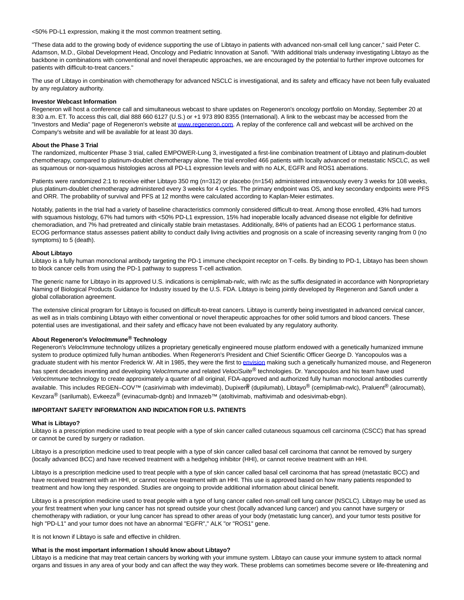<50% PD-L1 expression, making it the most common treatment setting.

"These data add to the growing body of evidence supporting the use of Libtayo in patients with advanced non-small cell lung cancer," said Peter C. Adamson, M.D., Global Development Head, Oncology and Pediatric Innovation at Sanofi. "With additional trials underway investigating Libtayo as the backbone in combinations with conventional and novel therapeutic approaches, we are encouraged by the potential to further improve outcomes for patients with difficult-to-treat cancers."

The use of Libtayo in combination with chemotherapy for advanced NSCLC is investigational, and its safety and efficacy have not been fully evaluated by any regulatory authority.

### **Investor Webcast Information**

Regeneron will host a conference call and simultaneous webcast to share updates on Regeneron's oncology portfolio on Monday, September 20 at 8:30 a.m. ET. To access this call, dial 888 660 6127 (U.S.) or +1 973 890 8355 (International). A link to the webcast may be accessed from the "Investors and Media" page of Regeneron's website at [www.regeneron.com.](https://c212.net/c/link/?t=0&l=en&o=3295452-1&h=523887238&u=http%3A%2F%2Fwww.regeneron.com%2F&a=www.regeneron.com) A replay of the conference call and webcast will be archived on the Company's website and will be available for at least 30 days.

## **About the Phase 3 Trial**

The randomized, multicenter Phase 3 trial, called EMPOWER-Lung 3, investigated a first-line combination treatment of Libtayo and platinum-doublet chemotherapy, compared to platinum-doublet chemotherapy alone. The trial enrolled 466 patients with locally advanced or metastatic NSCLC, as well as squamous or non-squamous histologies across all PD-L1 expression levels and with no ALK, EGFR and ROS1 aberrations.

Patients were randomized 2:1 to receive either Libtayo 350 mg (n=312) or placebo (n=154) administered intravenously every 3 weeks for 108 weeks, plus platinum-doublet chemotherapy administered every 3 weeks for 4 cycles. The primary endpoint was OS, and key secondary endpoints were PFS and ORR. The probability of survival and PFS at 12 months were calculated according to Kaplan-Meier estimates.

Notably, patients in the trial had a variety of baseline characteristics commonly considered difficult-to-treat. Among those enrolled, 43% had tumors with squamous histology, 67% had tumors with <50% PD-L1 expression, 15% had inoperable locally advanced disease not eligible for definitive chemoradiation, and 7% had pretreated and clinically stable brain metastases. Additionally, 84% of patients had an ECOG 1 performance status. ECOG performance status assesses patient ability to conduct daily living activities and prognosis on a scale of increasing severity ranging from 0 (no symptoms) to 5 (death).

# **About Libtayo**

Libtayo is a fully human monoclonal antibody targeting the PD-1 immune checkpoint receptor on T-cells. By binding to PD-1, Libtayo has been shown to block cancer cells from using the PD-1 pathway to suppress T-cell activation.

The generic name for Libtayo in its approved U.S. indications is cemiplimab-rwlc, with rwlc as the suffix designated in accordance with Nonproprietary Naming of Biological Products Guidance for Industry issued by the U.S. FDA. Libtayo is being jointly developed by Regeneron and Sanofi under a global collaboration agreement.

The extensive clinical program for Libtayo is focused on difficult-to-treat cancers. Libtayo is currently being investigated in advanced cervical cancer, as well as in trials combining Libtayo with either conventional or novel therapeutic approaches for other solid tumors and blood cancers. These potential uses are investigational, and their safety and efficacy have not been evaluated by any regulatory authority.

# **About Regeneron's VelocImmune® Technology**

Regeneron's VelocImmune technology utilizes a proprietary genetically engineered mouse platform endowed with a genetically humanized immune system to produce optimized fully human antibodies. When Regeneron's President and Chief Scientific Officer George D. Yancopoulos was a graduate student with his mentor Frederick W. Alt in 1985, they were the first to [envision m](https://c212.net/c/link/?t=0&l=en&o=3295452-1&h=2937039095&u=https%3A%2F%2Fwww.sciencedirect.com%2Fscience%2Farticle%2Fabs%2Fpii%2F0168952585900897&a=envision)aking such a genetically humanized mouse, and Regeneron has spent decades inventing and developing VelocImmune and related VelociSuite® technologies. Dr. Yancopoulos and his team have used VelocImmune technology to create approximately a quarter of all original, FDA-approved and authorized fully human monoclonal antibodies currently available. This includes REGEN–COV™ (casirivimab with imdevimab), Dupixer $\Re$  (dupilumab), Libtayo<sup>®</sup> (cemiplimab-rwlc), Praluent<sup>®</sup> (alirocumab), Kevzara<sup>®</sup> (sarilumab), Evkeeza<sup>®</sup> (evinacumab-dgnb) and Inmazeb™ (atoltivimab, maftivimab and odesivimab-ebgn).

# **IMPORTANT SAFETY INFORMATION AND INDICATION FOR U.S. PATIENTS**

#### **What is Libtayo?**

Libtayo is a prescription medicine used to treat people with a type of skin cancer called cutaneous squamous cell carcinoma (CSCC) that has spread or cannot be cured by surgery or radiation.

Libtayo is a prescription medicine used to treat people with a type of skin cancer called basal cell carcinoma that cannot be removed by surgery (locally advanced BCC) and have received treatment with a hedgehog inhibitor (HHI), or cannot receive treatment with an HHI.

Libtayo is a prescription medicine used to treat people with a type of skin cancer called basal cell carcinoma that has spread (metastatic BCC) and have received treatment with an HHI, or cannot receive treatment with an HHI. This use is approved based on how many patients responded to treatment and how long they responded. Studies are ongoing to provide additional information about clinical benefit.

Libtayo is a prescription medicine used to treat people with a type of lung cancer called non-small cell lung cancer (NSCLC). Libtayo may be used as your first treatment when your lung cancer has not spread outside your chest (locally advanced lung cancer) and you cannot have surgery or chemotherapy with radiation, or your lung cancer has spread to other areas of your body (metastatic lung cancer), and your tumor tests positive for high "PD-L1" and your tumor does not have an abnormal "EGFR"," ALK "or "ROS1" gene.

It is not known if Libtayo is safe and effective in children.

## **What is the most important information I should know about Libtayo?**

Libtayo is a medicine that may treat certain cancers by working with your immune system. Libtayo can cause your immune system to attack normal organs and tissues in any area of your body and can affect the way they work. These problems can sometimes become severe or life-threatening and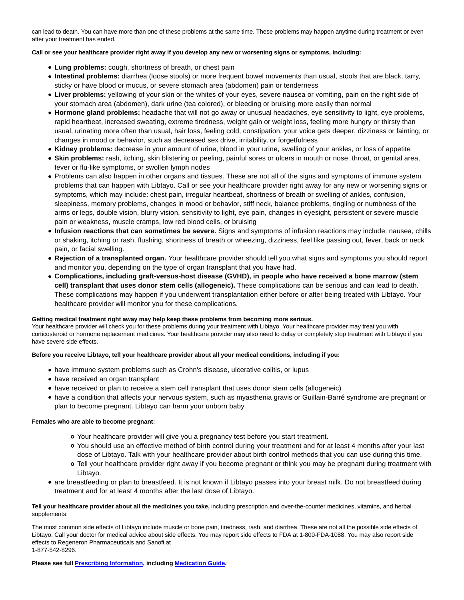can lead to death. You can have more than one of these problems at the same time. These problems may happen anytime during treatment or even after your treatment has ended.

# **Call or see your healthcare provider right away if you develop any new or worsening signs or symptoms, including:**

- **Lung problems:** cough, shortness of breath, or chest pain
- **Intestinal problems:** diarrhea (loose stools) or more frequent bowel movements than usual, stools that are black, tarry, sticky or have blood or mucus, or severe stomach area (abdomen) pain or tenderness
- **Liver problems:** yellowing of your skin or the whites of your eyes, severe nausea or vomiting, pain on the right side of your stomach area (abdomen), dark urine (tea colored), or bleeding or bruising more easily than normal
- **Hormone gland problems:** headache that will not go away or unusual headaches, eye sensitivity to light, eye problems, rapid heartbeat, increased sweating, extreme tiredness, weight gain or weight loss, feeling more hungry or thirsty than usual, urinating more often than usual, hair loss, feeling cold, constipation, your voice gets deeper, dizziness or fainting, or changes in mood or behavior, such as decreased sex drive, irritability, or forgetfulness
- **Kidney problems:** decrease in your amount of urine, blood in your urine, swelling of your ankles, or loss of appetite
- **Skin problems:** rash, itching, skin blistering or peeling, painful sores or ulcers in mouth or nose, throat, or genital area, fever or flu-like symptoms, or swollen lymph nodes
- Problems can also happen in other organs and tissues. These are not all of the signs and symptoms of immune system problems that can happen with Libtayo. Call or see your healthcare provider right away for any new or worsening signs or symptoms, which may include: chest pain, irregular heartbeat, shortness of breath or swelling of ankles, confusion, sleepiness, memory problems, changes in mood or behavior, stiff neck, balance problems, tingling or numbness of the arms or legs, double vision, blurry vision, sensitivity to light, eye pain, changes in eyesight, persistent or severe muscle pain or weakness, muscle cramps, low red blood cells, or bruising
- **Infusion reactions that can sometimes be severe.** Signs and symptoms of infusion reactions may include: nausea, chills or shaking, itching or rash, flushing, shortness of breath or wheezing, dizziness, feel like passing out, fever, back or neck pain, or facial swelling.
- **Rejection of a transplanted organ.** Your healthcare provider should tell you what signs and symptoms you should report and monitor you, depending on the type of organ transplant that you have had.
- **Complications, including graft-versus-host disease (GVHD), in people who have received a bone marrow (stem cell) transplant that uses donor stem cells (allogeneic).** These complications can be serious and can lead to death. These complications may happen if you underwent transplantation either before or after being treated with Libtayo. Your healthcare provider will monitor you for these complications.

# **Getting medical treatment right away may help keep these problems from becoming more serious.**

Your healthcare provider will check you for these problems during your treatment with Libtayo. Your healthcare provider may treat you with corticosteroid or hormone replacement medicines. Your healthcare provider may also need to delay or completely stop treatment with Libtayo if you have severe side effects.

# **Before you receive Libtayo, tell your healthcare provider about all your medical conditions, including if you:**

- have immune system problems such as Crohn's disease, ulcerative colitis, or lupus
- have received an organ transplant
- have received or plan to receive a stem cell transplant that uses donor stem cells (allogeneic)
- have a condition that affects your nervous system, such as myasthenia gravis or Guillain-Barré syndrome are pregnant or plan to become pregnant. Libtayo can harm your unborn baby

# **Females who are able to become pregnant:**

- Your healthcare provider will give you a pregnancy test before you start treatment.
- You should use an effective method of birth control during your treatment and for at least 4 months after your last dose of Libtayo. Talk with your healthcare provider about birth control methods that you can use during this time.
- Tell your healthcare provider right away if you become pregnant or think you may be pregnant during treatment with Libtayo.
- are breastfeeding or plan to breastfeed. It is not known if Libtayo passes into your breast milk. Do not breastfeed during treatment and for at least 4 months after the last dose of Libtayo.

# **Tell your healthcare provider about all the medicines you take,** including prescription and over-the-counter medicines, vitamins, and herbal supplements.

The most common side effects of Libtayo include muscle or bone pain, tiredness, rash, and diarrhea. These are not all the possible side effects of Libtayo. Call your doctor for medical advice about side effects. You may report side effects to FDA at 1-800-FDA-1088. You may also report side effects to Regeneron Pharmaceuticals and Sanofi at 1-877-542-8296.

**Please see full [Prescribing Information,](https://c212.net/c/link/?t=0&l=en&o=3295452-1&h=2482271730&u=https%3A%2F%2Fwww.regeneron.com%2Fsites%2Fdefault%2Ffiles%2FLibtayo_FPI.pdf&a=Prescribing+Information) including [Medication Guide.](https://c212.net/c/link/?t=0&l=en&o=3295452-1&h=2208591986&u=https%3A%2F%2Fwww.regeneron.com%2Fsites%2Fdefault%2Ffiles%2Fx1216(3)a.pdf&a=Medication+Guide)**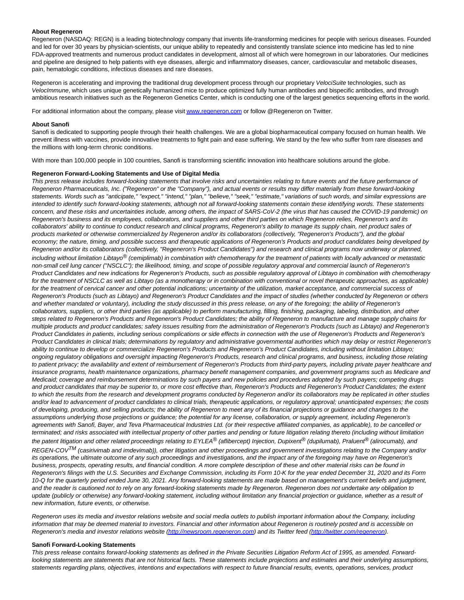## **About Regeneron**

Regeneron (NASDAQ: REGN) is a leading biotechnology company that invents life-transforming medicines for people with serious diseases. Founded and led for over 30 years by physician-scientists, our unique ability to repeatedly and consistently translate science into medicine has led to nine FDA-approved treatments and numerous product candidates in development, almost all of which were homegrown in our laboratories. Our medicines and pipeline are designed to help patients with eye diseases, allergic and inflammatory diseases, cancer, cardiovascular and metabolic diseases, pain, hematologic conditions, infectious diseases and rare diseases.

Regeneron is accelerating and improving the traditional drug development process through our proprietary VelociSuite technologies, such as VelocImmune, which uses unique genetically humanized mice to produce optimized fully human antibodies and bispecific antibodies, and through ambitious research initiatives such as the Regeneron Genetics Center, which is conducting one of the largest genetics sequencing efforts in the world.

For additional information about the company, please visi[t www.regeneron.com o](https://c212.net/c/link/?t=0&l=en&o=3295452-1&h=3572266517&u=https%3A%2F%2Fwww.regeneron.com%2F&a=www.regeneron.com)r follow @Regeneron on Twitter.

#### **About Sanofi**

Sanofi is dedicated to supporting people through their health challenges. We are a global biopharmaceutical company focused on human health. We prevent illness with vaccines, provide innovative treatments to fight pain and ease suffering. We stand by the few who suffer from rare diseases and the millions with long-term chronic conditions.

With more than 100,000 people in 100 countries, Sanofi is transforming scientific innovation into healthcare solutions around the globe.

#### **Regeneron Forward-Looking Statements and Use of Digital Media**

This press release includes forward-looking statements that involve risks and uncertainties relating to future events and the future performance of Regeneron Pharmaceuticals, Inc. ("Regeneron" or the "Company"), and actual events or results may differ materially from these forward-looking statements. Words such as "anticipate," "expect," "intend," "plan," "believe," "seek," "estimate," variations of such words, and similar expressions are intended to identify such forward-looking statements, although not all forward-looking statements contain these identifying words. These statements concern, and these risks and uncertainties include, among others, the impact of SARS-CoV-2 (the virus that has caused the COVID-19 pandemic) on Regeneron's business and its employees, collaborators, and suppliers and other third parties on which Regeneron relies, Regeneron's and its collaborators' ability to continue to conduct research and clinical programs, Regeneron's ability to manage its supply chain, net product sales of products marketed or otherwise commercialized by Regeneron and/or its collaborators (collectively, "Regeneron's Products"), and the global economy; the nature, timing, and possible success and therapeutic applications of Regeneron's Products and product candidates being developed by Regeneron and/or its collaborators (collectively, "Regeneron's Product Candidates") and research and clinical programs now underway or planned, including without limitation Libtayo $^\circledR$  (cemiplimab) in combination with chemotherapy for the treatment of patients with locally advanced or metastatic non-small cell lung cancer ("NSCLC"); the likelihood, timing, and scope of possible regulatory approval and commercial launch of Regeneron's Product Candidates and new indications for Regeneron's Products, such as possible regulatory approval of Libtayo in combination with chemotherapy for the treatment of NSCLC as well as Libtayo (as a monotherapy or in combination with conventional or novel therapeutic approaches, as applicable) for the treatment of cervical cancer and other potential indications; uncertainty of the utilization, market acceptance, and commercial success of Regeneron's Products (such as Libtayo) and Regeneron's Product Candidates and the impact of studies (whether conducted by Regeneron or others and whether mandated or voluntary), including the study discussed in this press release, on any of the foregoing; the ability of Regeneron's collaborators, suppliers, or other third parties (as applicable) to perform manufacturing, filling, finishing, packaging, labeling, distribution, and other steps related to Regeneron's Products and Regeneron's Product Candidates; the ability of Regeneron to manufacture and manage supply chains for multiple products and product candidates; safety issues resulting from the administration of Regeneron's Products (such as Libtayo) and Regeneron's Product Candidates in patients, including serious complications or side effects in connection with the use of Regeneron's Products and Regeneron's Product Candidates in clinical trials; determinations by regulatory and administrative governmental authorities which may delay or restrict Regeneron's ability to continue to develop or commercialize Regeneron's Products and Regeneron's Product Candidates, including without limitation Libtayo; ongoing regulatory obligations and oversight impacting Regeneron's Products, research and clinical programs, and business, including those relating to patient privacy; the availability and extent of reimbursement of Regeneron's Products from third-party payers, including private payer healthcare and insurance programs, health maintenance organizations, pharmacy benefit management companies, and government programs such as Medicare and Medicaid; coverage and reimbursement determinations by such payers and new policies and procedures adopted by such payers; competing drugs and product candidates that may be superior to, or more cost effective than, Regeneron's Products and Regeneron's Product Candidates; the extent to which the results from the research and development programs conducted by Regeneron and/or its collaborators may be replicated in other studies and/or lead to advancement of product candidates to clinical trials, therapeutic applications, or regulatory approval; unanticipated expenses; the costs of developing, producing, and selling products; the ability of Regeneron to meet any of its financial projections or guidance and changes to the assumptions underlying those projections or guidance; the potential for any license, collaboration, or supply agreement, including Regeneron's agreements with Sanofi, Bayer, and Teva Pharmaceutical Industries Ltd. (or their respective affiliated companies, as applicable), to be cancelled or terminated; and risks associated with intellectual property of other parties and pending or future litigation relating thereto (including without limitation the patent litigation and other related proceedings relating to EYLEA<sup>®</sup> (aflibercept) Injection, Dupixent<sup>®</sup> (dupilumab), Praluent<sup>®</sup> (alirocumab), and REGEN-COV<sup>TM</sup> (casirivimab and imdevimab)), other litigation and other proceedings and government investigations relating to the Company and/or its operations, the ultimate outcome of any such proceedings and investigations, and the impact any of the foregoing may have on Regeneron's business, prospects, operating results, and financial condition. A more complete description of these and other material risks can be found in Regeneron's filings with the U.S. Securities and Exchange Commission, including its Form 10-K for the year ended December 31, 2020 and its Form 10-Q for the quarterly period ended June 30, 2021. Any forward-looking statements are made based on management's current beliefs and judgment, and the reader is cautioned not to rely on any forward-looking statements made by Regeneron. Regeneron does not undertake any obligation to update (publicly or otherwise) any forward-looking statement, including without limitation any financial projection or guidance, whether as a result of new information, future events, or otherwise.

Regeneron uses its media and investor relations website and social media outlets to publish important information about the Company, including information that may be deemed material to investors. Financial and other information about Regeneron is routinely posted and is accessible on Regeneron's media and investor relations website [\(http://newsroom.regeneron.com\)](https://c212.net/c/link/?t=0&l=en&o=3295452-1&h=911251964&u=http%3A%2F%2Fnewsroom.regeneron.com%2F&a=http%3A%2F%2Fnewsroom.regeneron.com) and its Twitter feed [\(http://twitter.com/regeneron\).](https://c212.net/c/link/?t=0&l=en&o=3295452-1&h=3605689868&u=http%3A%2F%2Ftwitter.com%2Fregeneron&a=http%3A%2F%2Ftwitter.com%2Fregeneron)

# **Sanofi Forward-Looking Statements**

This press release contains forward-looking statements as defined in the Private Securities Litigation Reform Act of 1995, as amended. Forwardlooking statements are statements that are not historical facts. These statements include projections and estimates and their underlying assumptions, statements regarding plans, objectives, intentions and expectations with respect to future financial results, events, operations, services, product